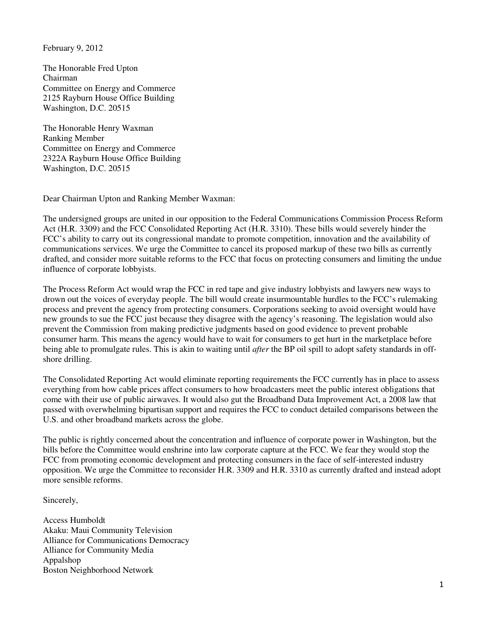February 9, 2012

The Honorable Fred Upton Chairman Committee on Energy and Commerce 2125 Rayburn House Office Building Washington, D.C. 20515

The Honorable Henry Waxman Ranking Member Committee on Energy and Commerce 2322A Rayburn House Office Building Washington, D.C. 20515

Dear Chairman Upton and Ranking Member Waxman:

The undersigned groups are united in our opposition to the Federal Communications Commission Process Reform Act (H.R. 3309) and the FCC Consolidated Reporting Act (H.R. 3310). These bills would severely hinder the FCC's ability to carry out its congressional mandate to promote competition, innovation and the availability of communications services. We urge the Committee to cancel its proposed markup of these two bills as currently drafted, and consider more suitable reforms to the FCC that focus on protecting consumers and limiting the undue influence of corporate lobbyists.

The Process Reform Act would wrap the FCC in red tape and give industry lobbyists and lawyers new ways to drown out the voices of everyday people. The bill would create insurmountable hurdles to the FCC's rulemaking process and prevent the agency from protecting consumers. Corporations seeking to avoid oversight would have new grounds to sue the FCC just because they disagree with the agency's reasoning. The legislation would also prevent the Commission from making predictive judgments based on good evidence to prevent probable consumer harm. This means the agency would have to wait for consumers to get hurt in the marketplace before being able to promulgate rules. This is akin to waiting until *after* the BP oil spill to adopt safety standards in offshore drilling.

The Consolidated Reporting Act would eliminate reporting requirements the FCC currently has in place to assess everything from how cable prices affect consumers to how broadcasters meet the public interest obligations that come with their use of public airwaves. It would also gut the Broadband Data Improvement Act, a 2008 law that passed with overwhelming bipartisan support and requires the FCC to conduct detailed comparisons between the U.S. and other broadband markets across the globe.

The public is rightly concerned about the concentration and influence of corporate power in Washington, but the bills before the Committee would enshrine into law corporate capture at the FCC. We fear they would stop the FCC from promoting economic development and protecting consumers in the face of self-interested industry opposition. We urge the Committee to reconsider H.R. 3309 and H.R. 3310 as currently drafted and instead adopt more sensible reforms.

Sincerely,

Access Humboldt Akaku: Maui Community Television Alliance for Communications Democracy Alliance for Community Media Appalshop Boston Neighborhood Network